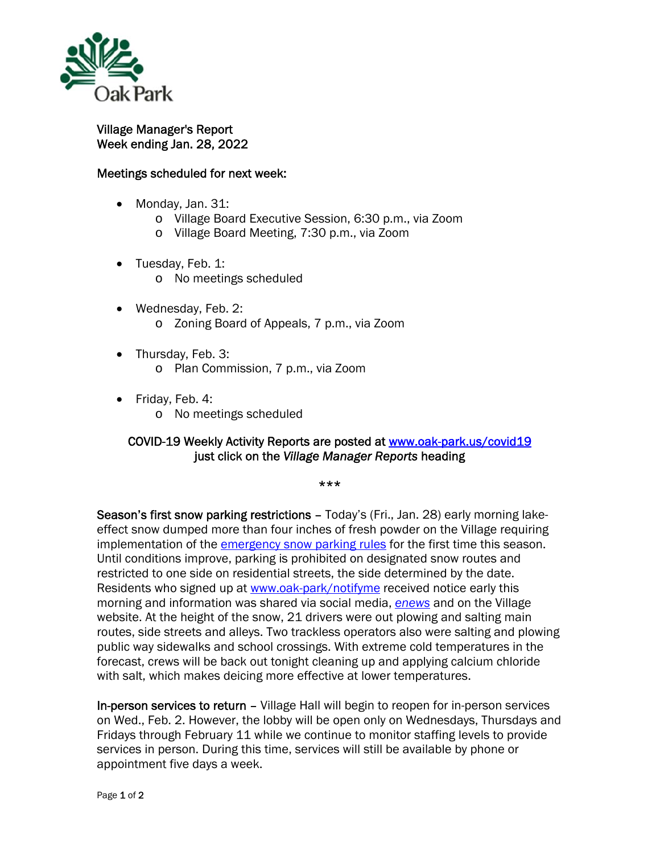

## Village Manager's Report Week ending Jan. 28, 2022

## Meetings scheduled for next week:

- Monday, Jan. 31:
	- o Village Board Executive Session, 6:30 p.m., via Zoom
	- o Village Board Meeting, 7:30 p.m., via Zoom
- Tuesday, Feb. 1:
	- o No meetings scheduled
- Wednesday, Feb. 2: o Zoning Board of Appeals, 7 p.m., via Zoom
- Thursday, Feb. 3: o Plan Commission, 7 p.m., via Zoom
- Friday, Feb. 4:
	- o No meetings scheduled

## COVID-19 Weekly Activity Reports are posted at www.oak-park.us/covid19 just click on the *Village Manager Reports* heading

\*\*\*

Season's first snow parking restrictions - Today's (Fri., Jan. 28) early morning lakeeffect snow dumped more than four inches of fresh powder on the Village requiring implementation of the *emergency snow parking rules* for the first time this season. Until conditions improve, parking is prohibited on designated snow routes and restricted to one side on residential streets, the side determined by the date. Residents who signed up at www.oak-park/notifyme received notice early this morning and information was shared via social media, *enews* and on the Village website. At the height of the snow, 21 drivers were out plowing and salting main routes, side streets and alleys. Two trackless operators also were salting and plowing public way sidewalks and school crossings. With extreme cold temperatures in the forecast, crews will be back out tonight cleaning up and applying calcium chloride with salt, which makes deicing more effective at lower temperatures.

In-person services to return – Village Hall will begin to reopen for in-person services on Wed., Feb. 2. However, the lobby will be open only on Wednesdays, Thursdays and Fridays through February 11 while we continue to monitor staffing levels to provide services in person. During this time, services will still be available by phone or appointment five days a week.